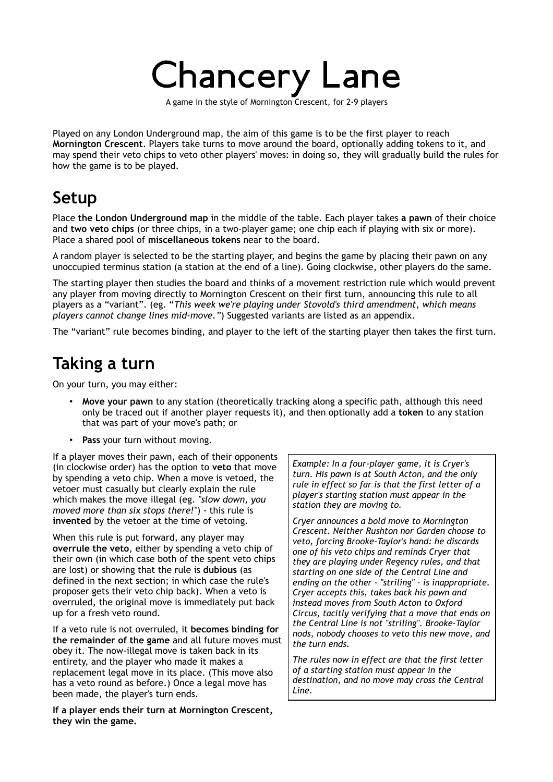# **Chancery Lane**

A game in the style of Mornington Crescent, for 2-9 players

Played on any London Underground map, the aim of this game is to be the first player to reach **Mornington Crescent**. Players take turns to move around the board, optionally adding tokens to it, and may spend their veto chips to veto other players' moves: in doing so, they will gradually build the rules for how the game is to be played.

#### **Setup**

Place **the London Underground map** in the middle of the table. Each player takes **a pawn** of their choice and **two veto chips** (or three chips, in a two-player game; one chip each if playing with six or more). Place a shared pool of **miscellaneous tokens** near to the board.

A random player is selected to be the starting player, and begins the game by placing their pawn on any unoccupied terminus station (a station at the end of a line). Going clockwise, other players do the same.

The starting player then studies the board and thinks of a movement restriction rule which would prevent any player from moving directly to Mornington Crescent on their first turn, announcing this rule to all players as a "variant". (eg. "*This week we're playing under Stovold's third amendment, which means players cannot change lines mid-move."*) Suggested variants are listed as an appendix.

The "variant" rule becomes binding, and player to the left of the starting player then takes the first turn.

### **Taking a turn**

On your turn, you may either:

- **Move your pawn** to any station (theoretically tracking along a specific path, although this need only be traced out if another player requests it), and then optionally add a **token** to any station that was part of your move's path; or
- **Pass** your turn without moving.

If a player moves their pawn, each of their opponents (in clockwise order) has the option to **veto** that move by spending a veto chip. When a move is vetoed, the vetoer must casually but clearly explain the rule which makes the move illegal (eg. *"slow down, you moved more than six stops there!"*) - this rule is **invented** by the vetoer at the time of vetoing.

When this rule is put forward, any player may **overrule the veto**, either by spending a veto chip of their own (in which case both of the spent veto chips are lost) or showing that the rule is **dubious** (as defined in the next section; in which case the rule's proposer gets their veto chip back). When a veto is overruled, the original move is immediately put back up for a fresh veto round.

If a veto rule is not overruled, it **becomes binding for the remainder of the game** and all future moves must obey it. The now-illegal move is taken back in its entirety, and the player who made it makes a replacement legal move in its place. (This move also has a veto round as before.) Once a legal move has been made, the player's turn ends.

**If a player ends their turn at Mornington Crescent, they win the game.**

*Example: In a four-player game, it is Cryer's turn. His pawn is at South Acton, and the only rule in effect so far is that the first letter of a player's starting station must appear in the station they are moving to.*

*Cryer announces a bold move to Mornington Crescent. Neither Rushton nor Garden choose to veto, forcing Brooke-Taylor's hand: he discards one of his veto chips and reminds Cryer that they are playing under Regency rules, and that starting on one side of the Central Line and ending on the other - "striling" - is inappropriate. Cryer accepts this, takes back his pawn and instead moves from South Acton to Oxford Circus, tacitly verifying that a move that ends on the Central Line is not "striling". Brooke-Taylor nods, nobody chooses to veto this new move, and the turn ends.*

*The rules now in effect are that the first letter of a starting station must appear in the destination, and no move may cross the Central Line.*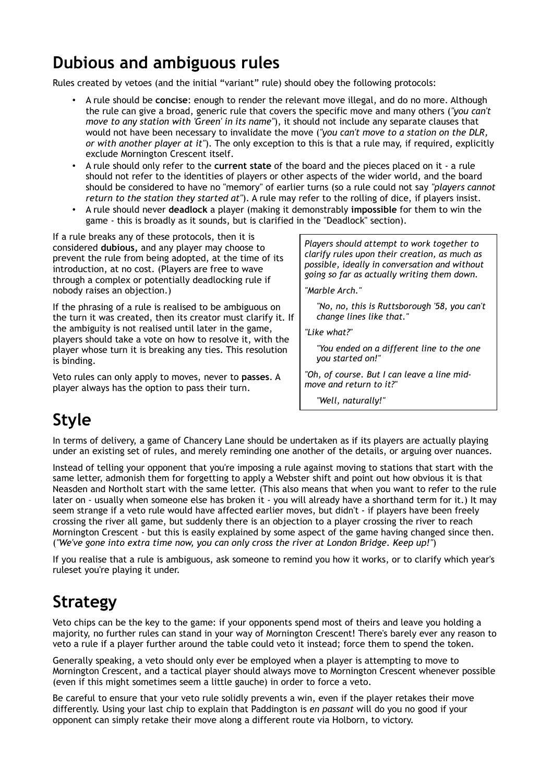## **Dubious and ambiguous rules**

Rules created by vetoes (and the initial "variant" rule) should obey the following protocols:

- A rule should be **concise**: enough to render the relevant move illegal, and do no more. Although the rule can give a broad, generic rule that covers the specific move and many others (*"you can't move to any station with 'Green' in its name"*), it should not include any separate clauses that would not have been necessary to invalidate the move (*"you can't move to a station on the DLR, or with another player at it"*). The only exception to this is that a rule may, if required, explicitly exclude Mornington Crescent itself.
- A rule should only refer to the **current state** of the board and the pieces placed on it a rule should not refer to the identities of players or other aspects of the wider world, and the board should be considered to have no "memory" of earlier turns (so a rule could not say *"players cannot return to the station they started at"*). A rule may refer to the rolling of dice, if players insist.
- A rule should never **deadlock** a player (making it demonstrably **impossible** for them to win the game - this is broadly as it sounds, but is clarified in the "Deadlock" section).

If a rule breaks any of these protocols, then it is considered **dubious,** and any player may choose to prevent the rule from being adopted, at the time of its introduction, at no cost. (Players are free to wave through a complex or potentially deadlocking rule if nobody raises an objection.)

If the phrasing of a rule is realised to be ambiguous on the turn it was created, then its creator must clarify it. If the ambiguity is not realised until later in the game, players should take a vote on how to resolve it, with the player whose turn it is breaking any ties. This resolution is binding.

Veto rules can only apply to moves, never to **passes**. A player always has the option to pass their turn.

*Players should attempt to work together to clarify rules upon their creation, as much as possible, ideally in conversation and without going so far as actually writing them down.*

*"Marble Arch."*

*"No, no, this is Ruttsborough '58, you can't change lines like that."*

*"Like what?"*

*"You ended on a different line to the one you started on!"*

*"Oh, of course. But I can leave a line midmove and return to it?"*

*"Well, naturally!"*

### **Style**

In terms of delivery, a game of Chancery Lane should be undertaken as if its players are actually playing under an existing set of rules, and merely reminding one another of the details, or arguing over nuances.

Instead of telling your opponent that you're imposing a rule against moving to stations that start with the same letter, admonish them for forgetting to apply a Webster shift and point out how obvious it is that Neasden and Northolt start with the same letter. (This also means that when you want to refer to the rule later on - usually when someone else has broken it - you will already have a shorthand term for it.) It may seem strange if a veto rule would have affected earlier moves, but didn't - if players have been freely crossing the river all game, but suddenly there is an objection to a player crossing the river to reach Mornington Crescent - but this is easily explained by some aspect of the game having changed since then. (*"We've gone into extra time now, you can only cross the river at London Bridge. Keep up!"*)

If you realise that a rule is ambiguous, ask someone to remind you how it works, or to clarify which year's ruleset you're playing it under.

### **Strategy**

Veto chips can be the key to the game: if your opponents spend most of theirs and leave you holding a majority, no further rules can stand in your way of Mornington Crescent! There's barely ever any reason to veto a rule if a player further around the table could veto it instead; force them to spend the token.

Generally speaking, a veto should only ever be employed when a player is attempting to move to Mornington Crescent, and a tactical player should always move to Mornington Crescent whenever possible (even if this might sometimes seem a little gauche) in order to force a veto.

Be careful to ensure that your veto rule solidly prevents a win, even if the player retakes their move differently. Using your last chip to explain that Paddington is *en passant* will do you no good if your opponent can simply retake their move along a different route via Holborn, to victory.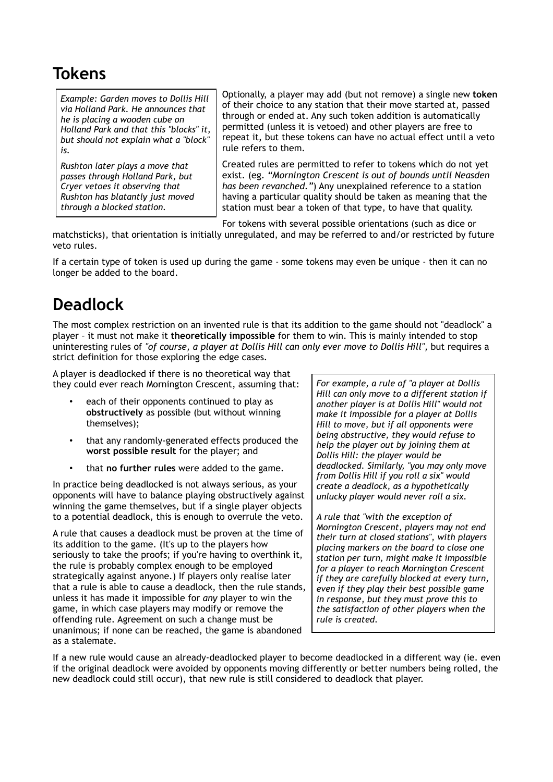### **Tokens**

*Example: Garden moves to Dollis Hill via Holland Park. He announces that he is placing a wooden cube on Holland Park and that this "blocks" it, but should not explain what a "block" is.*

*Rushton later plays a move that passes through Holland Park, but Cryer vetoes it observing that Rushton has blatantly just moved through a blocked station.*

Optionally, a player may add (but not remove) a single new **token** of their choice to any station that their move started at, passed through or ended at. Any such token addition is automatically permitted (unless it is vetoed) and other players are free to repeat it, but these tokens can have no actual effect until a veto rule refers to them.

Created rules are permitted to refer to tokens which do not yet exist. (eg. *"Mornington Crescent is out of bounds until Neasden has been revanched."*) Any unexplained reference to a station having a particular quality should be taken as meaning that the station must bear a token of that type, to have that quality.

For tokens with several possible orientations (such as dice or

matchsticks), that orientation is initially unregulated, and may be referred to and/or restricted by future veto rules.

If a certain type of token is used up during the game - some tokens may even be unique - then it can no longer be added to the board.

### **Deadlock**

The most complex restriction on an invented rule is that its addition to the game should not "deadlock" a player – it must not make it **theoretically impossible** for them to win. This is mainly intended to stop uninteresting rules of *"of course, a player at Dollis Hill can only ever move to Dollis Hill",* but requires a strict definition for those exploring the edge cases.

A player is deadlocked if there is no theoretical way that they could ever reach Mornington Crescent, assuming that:

- each of their opponents continued to play as **obstructively** as possible (but without winning themselves);
- that any randomly-generated effects produced the **worst possible result** for the player; and
- that **no further rules** were added to the game.

In practice being deadlocked is not always serious, as your opponents will have to balance playing obstructively against winning the game themselves, but if a single player objects to a potential deadlock, this is enough to overrule the veto.

A rule that causes a deadlock must be proven at the time of its addition to the game. (It's up to the players how seriously to take the proofs; if you're having to overthink it, the rule is probably complex enough to be employed strategically against anyone.) If players only realise later that a rule is able to cause a deadlock, then the rule stands, unless it has made it impossible for *any* player to win the game, in which case players may modify or remove the offending rule. Agreement on such a change must be unanimous; if none can be reached, the game is abandoned as a stalemate.

*For example, a rule of "a player at Dollis Hill can only move to a different station if another player is at Dollis Hill" would not make it impossible for a player at Dollis Hill to move, but if all opponents were being obstructive, they would refuse to help the player out by joining them at Dollis Hill: the player would be deadlocked. Similarly, "you may only move from Dollis Hill if you roll a six" would create a deadlock, as a hypothetically unlucky player would never roll a six.*

*A rule that "with the exception of Mornington Crescent, players may not end their turn at closed stations", with players placing markers on the board to close one station per turn, might make it impossible for a player to reach Mornington Crescent if they are carefully blocked at every turn, even if they play their best possible game in response, but they must prove this to the satisfaction of other players when the rule is created.*

If a new rule would cause an already-deadlocked player to become deadlocked in a different way (ie. even if the original deadlock were avoided by opponents moving differently or better numbers being rolled, the new deadlock could still occur), that new rule is still considered to deadlock that player.